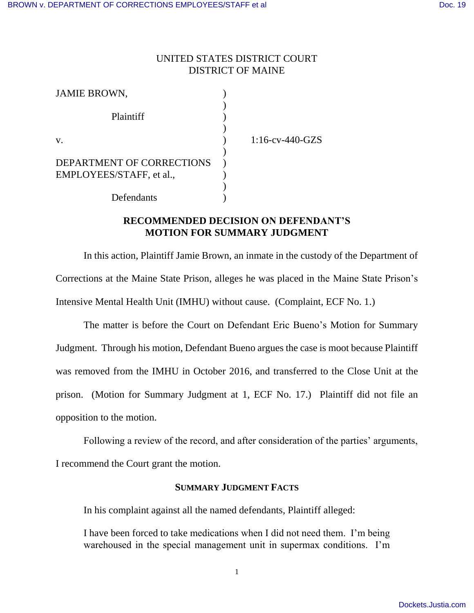# UNITED STATES DISTRICT COURT DISTRICT OF MAINE

| <b>JAMIE BROWN,</b>       |                    |
|---------------------------|--------------------|
| Plaintiff                 |                    |
| V.                        | $1:16$ -cv-440-GZS |
|                           |                    |
| DEPARTMENT OF CORRECTIONS |                    |
| EMPLOYEES/STAFF, et al.,  |                    |
|                           |                    |
| Defendants                |                    |

# **RECOMMENDED DECISION ON DEFENDANT'S MOTION FOR SUMMARY JUDGMENT**

In this action, Plaintiff Jamie Brown, an inmate in the custody of the Department of Corrections at the Maine State Prison, alleges he was placed in the Maine State Prison's Intensive Mental Health Unit (IMHU) without cause. (Complaint, ECF No. 1.)

The matter is before the Court on Defendant Eric Bueno's Motion for Summary Judgment. Through his motion, Defendant Bueno argues the case is moot because Plaintiff was removed from the IMHU in October 2016, and transferred to the Close Unit at the prison. (Motion for Summary Judgment at 1, ECF No. 17.) Plaintiff did not file an opposition to the motion.

Following a review of the record, and after consideration of the parties' arguments,

I recommend the Court grant the motion.

### **SUMMARY JUDGMENT FACTS**

In his complaint against all the named defendants, Plaintiff alleged:

I have been forced to take medications when I did not need them. I'm being warehoused in the special management unit in supermax conditions. I'm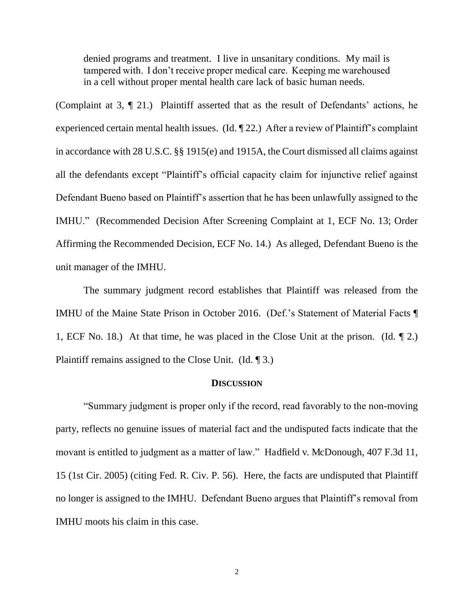denied programs and treatment. I live in unsanitary conditions. My mail is tampered with. I don't receive proper medical care. Keeping me warehoused in a cell without proper mental health care lack of basic human needs.

(Complaint at 3, ¶ 21.) Plaintiff asserted that as the result of Defendants' actions, he experienced certain mental health issues. (Id. ¶ 22.) After a review of Plaintiff's complaint in accordance with 28 U.S.C. §§ 1915(e) and 1915A, the Court dismissed all claims against all the defendants except "Plaintiff's official capacity claim for injunctive relief against Defendant Bueno based on Plaintiff's assertion that he has been unlawfully assigned to the IMHU." (Recommended Decision After Screening Complaint at 1, ECF No. 13; Order Affirming the Recommended Decision, ECF No. 14.) As alleged, Defendant Bueno is the unit manager of the IMHU.

The summary judgment record establishes that Plaintiff was released from the IMHU of the Maine State Prison in October 2016. (Def.'s Statement of Material Facts ¶ 1, ECF No. 18.) At that time, he was placed in the Close Unit at the prison. (Id. ¶ 2.) Plaintiff remains assigned to the Close Unit. (Id. ¶ 3.)

#### **DISCUSSION**

"Summary judgment is proper only if the record, read favorably to the non-moving party, reflects no genuine issues of material fact and the undisputed facts indicate that the movant is entitled to judgment as a matter of law." Hadfield v. McDonough, 407 F.3d 11, 15 (1st Cir. 2005) (citing Fed. R. Civ. P. 56). Here, the facts are undisputed that Plaintiff no longer is assigned to the IMHU. Defendant Bueno argues that Plaintiff's removal from IMHU moots his claim in this case.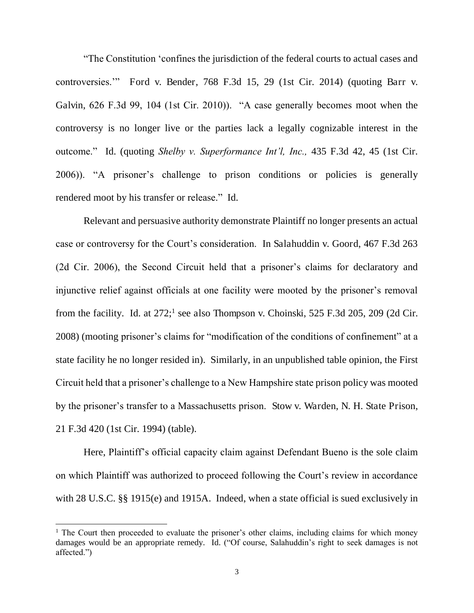"The Constitution 'confines the jurisdiction of the federal courts to actual cases and controversies.'" Ford v. Bender, 768 F.3d 15, 29 (1st Cir. 2014) (quoting Barr v. Galvin, 626 F.3d 99, 104 (1st Cir. 2010)). "A case generally becomes moot when the controversy is no longer live or the parties lack a legally cognizable interest in the outcome." Id. (quoting *Shelby v. Superformance Int'l, Inc.,* 435 F.3d 42, 45 (1st Cir. 2006)). "A prisoner's challenge to prison conditions or policies is generally rendered moot by his transfer or release." Id.

Relevant and persuasive authority demonstrate Plaintiff no longer presents an actual case or controversy for the Court's consideration. In Salahuddin v. Goord, 467 F.3d 263 (2d Cir. 2006), the Second Circuit held that a prisoner's claims for declaratory and injunctive relief against officials at one facility were mooted by the prisoner's removal from the facility. Id. at  $272$ ;<sup>1</sup> see also Thompson v. Choinski, 525 F.3d 205, 209 (2d Cir. 2008) (mooting prisoner's claims for "modification of the conditions of confinement" at a state facility he no longer resided in). Similarly, in an unpublished table opinion, the First Circuit held that a prisoner's challenge to a New Hampshire state prison policy was mooted by the prisoner's transfer to a Massachusetts prison. Stow v. Warden, N. H. State Prison, 21 F.3d 420 (1st Cir. 1994) (table).

Here, Plaintiff's official capacity claim against Defendant Bueno is the sole claim on which Plaintiff was authorized to proceed following the Court's review in accordance with 28 U.S.C. §§ 1915(e) and 1915A. Indeed, when a state official is sued exclusively in

 $\overline{a}$ 

<sup>&</sup>lt;sup>1</sup> The Court then proceeded to evaluate the prisoner's other claims, including claims for which money damages would be an appropriate remedy. Id. ("Of course, Salahuddin's right to seek damages is not affected.")